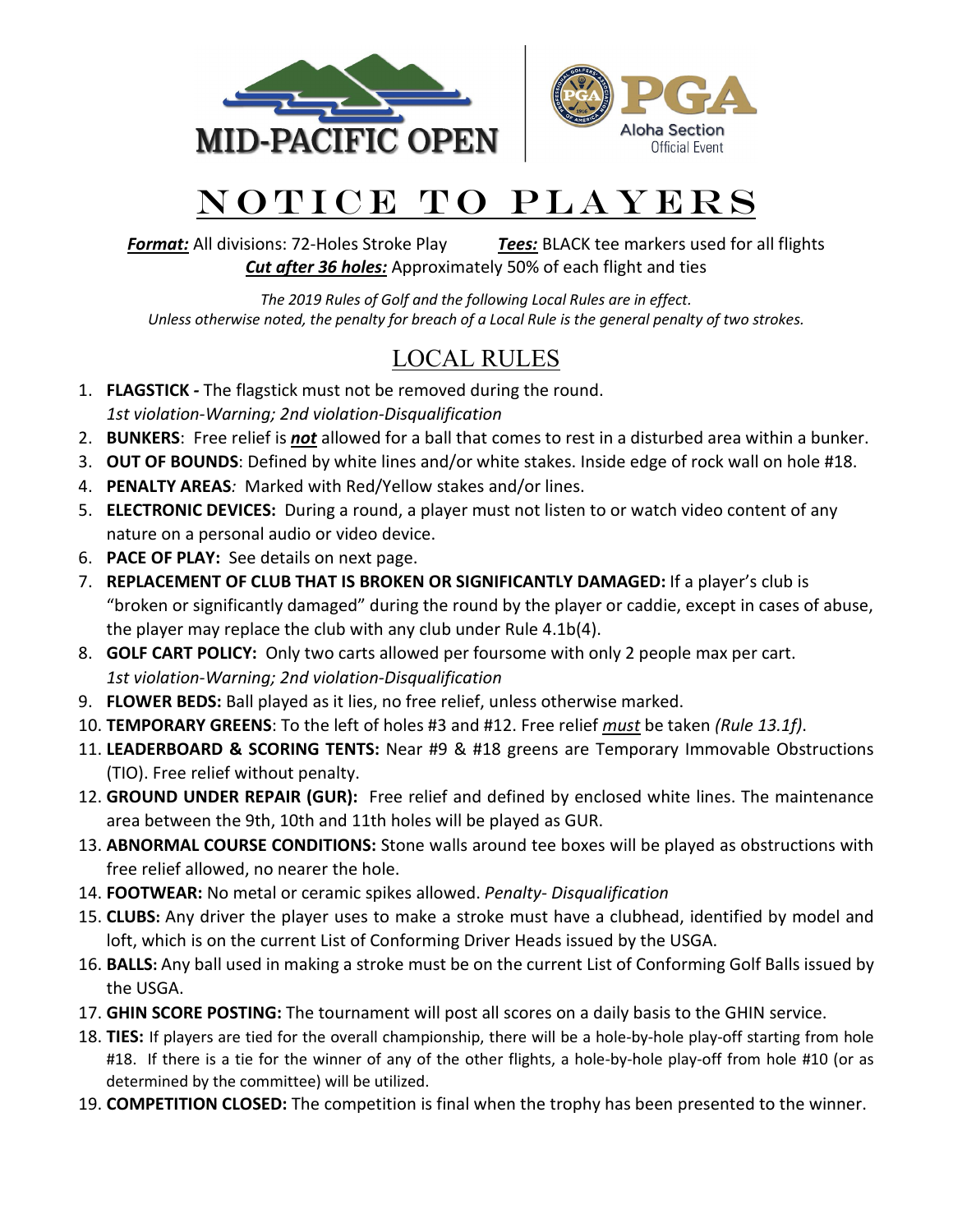



## NOTICE TO PLAYERS

*Format:* All divisions: 72-Holes Stroke Play *Tees:* BLACK tee markers used for all flights *Cut after 36 holes:* Approximately 50% of each flight and ties

*The 2019 Rules of Golf and the following Local Rules are in effect. Unless otherwise noted, the penalty for breach of a Local Rule is the general penalty of two strokes.*

## LOCAL RULES

- 1. **FLAGSTICK** *-* The flagstick must not be removed during the round. *1st violation-Warning; 2nd violation-Disqualification*
- 2. **BUNKERS**: Free relief is *not* allowed for a ball that comes to rest in a disturbed area within a bunker.
- 3. **OUT OF BOUNDS**: Defined by white lines and/or white stakes. Inside edge of rock wall on hole #18.
- 4. **PENALTY AREAS***:* Marked with Red/Yellow stakes and/or lines.
- 5. **ELECTRONIC DEVICES:** During a round, a player must not listen to or watch video content of any nature on a personal audio or video device.
- 6. **PACE OF PLAY:** See details on next page.
- 7. **REPLACEMENT OF CLUB THAT IS BROKEN OR SIGNIFICANTLY DAMAGED:** If a player's club is "broken or significantly damaged" during the round by the player or caddie, except in cases of abuse, the player may replace the club with any club under Rule 4.1b(4).
- 8. **GOLF CART POLICY:** Only two carts allowed per foursome with only 2 people max per cart. *1st violation-Warning; 2nd violation-Disqualification*
- 9. **FLOWER BEDS:** Ball played as it lies, no free relief, unless otherwise marked.
- 10. **TEMPORARY GREENS**: To the left of holes #3 and #12. Free relief *must* be taken *(Rule 13.1f)*.
- 11. **LEADERBOARD & SCORING TENTS:** Near #9 & #18 greens are Temporary Immovable Obstructions (TIO). Free relief without penalty.
- 12. **GROUND UNDER REPAIR (GUR):** Free relief and defined by enclosed white lines. The maintenance area between the 9th, 10th and 11th holes will be played as GUR.
- 13. **ABNORMAL COURSE CONDITIONS:** Stone walls around tee boxes will be played as obstructions with free relief allowed, no nearer the hole.
- 14. **FOOTWEAR:** No metal or ceramic spikes allowed. *Penalty- Disqualification*
- 15. **CLUBS:** Any driver the player uses to make a stroke must have a clubhead, identified by model and loft, which is on the current List of Conforming Driver Heads issued by the USGA.
- 16. **BALLS:** Any ball used in making a stroke must be on the current List of Conforming Golf Balls issued by the USGA.
- 17. **GHIN SCORE POSTING:** The tournament will post all scores on a daily basis to the GHIN service.
- 18. **TIES:** If players are tied for the overall championship, there will be a hole-by-hole play-off starting from hole #18. If there is a tie for the winner of any of the other flights, a hole-by-hole play-off from hole #10 (or as determined by the committee) will be utilized.
- 19. **COMPETITION CLOSED:** The competition is final when the trophy has been presented to the winner.